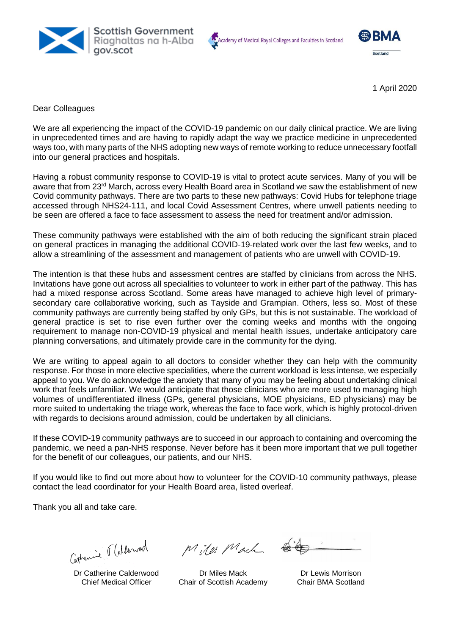





1 April 2020

Dear Colleagues

We are all experiencing the impact of the COVID-19 pandemic on our daily clinical practice. We are living in unprecedented times and are having to rapidly adapt the way we practice medicine in unprecedented ways too, with many parts of the NHS adopting new ways of remote working to reduce unnecessary footfall into our general practices and hospitals.

Having a robust community response to COVID-19 is vital to protect acute services. Many of you will be aware that from 23<sup>rd</sup> March, across every Health Board area in Scotland we saw the establishment of new Covid community pathways. There are two parts to these new pathways: Covid Hubs for telephone triage accessed through NHS24-111, and local Covid Assessment Centres, where unwell patients needing to be seen are offered a face to face assessment to assess the need for treatment and/or admission.

These community pathways were established with the aim of both reducing the significant strain placed on general practices in managing the additional COVID-19-related work over the last few weeks, and to allow a streamlining of the assessment and management of patients who are unwell with COVID-19.

The intention is that these hubs and assessment centres are staffed by clinicians from across the NHS. Invitations have gone out across all specialities to volunteer to work in either part of the pathway. This has had a mixed response across Scotland. Some areas have managed to achieve high level of primarysecondary care collaborative working, such as Tayside and Grampian. Others, less so. Most of these community pathways are currently being staffed by only GPs, but this is not sustainable. The workload of general practice is set to rise even further over the coming weeks and months with the ongoing requirement to manage non-COVID-19 physical and mental health issues, undertake anticipatory care planning conversations, and ultimately provide care in the community for the dying.

We are writing to appeal again to all doctors to consider whether they can help with the community response. For those in more elective specialities, where the current workload is less intense, we especially appeal to you. We do acknowledge the anxiety that many of you may be feeling about undertaking clinical work that feels unfamiliar. We would anticipate that those clinicians who are more used to managing high volumes of undifferentiated illness (GPs, general physicians, MOE physicians, ED physicians) may be more suited to undertaking the triage work, whereas the face to face work, which is highly protocol-driven with regards to decisions around admission, could be undertaken by all clinicians.

If these COVID-19 community pathways are to succeed in our approach to containing and overcoming the pandemic, we need a pan-NHS response. Never before has it been more important that we pull together for the benefit of our colleagues, our patients, and our NHS.

If you would like to find out more about how to volunteer for the COVID-10 community pathways, please contact the lead coordinator for your Health Board area, listed overleaf.

Thank you all and take care.

Catherine Ralderwood

Dr Catherine Calderwood Chief Medical Officer

Miles Mach

Dr Miles Mack Chair of Scottish Academy

Dr Lewis Morrison Chair BMA Scotland